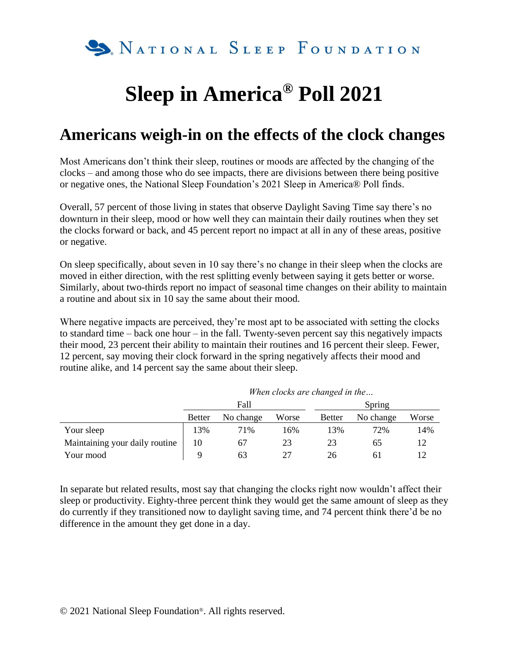

## **Sleep in America® Poll 2021**

## **Americans weigh-in on the effects of the clock changes**

Most Americans don't think their sleep, routines or moods are affected by the changing of the clocks – and among those who do see impacts, there are divisions between there being positive or negative ones, the National Sleep Foundation's 2021 Sleep in America® Poll finds.

Overall, 57 percent of those living in states that observe Daylight Saving Time say there's no downturn in their sleep, mood or how well they can maintain their daily routines when they set the clocks forward or back, and 45 percent report no impact at all in any of these areas, positive or negative.

On sleep specifically, about seven in 10 say there's no change in their sleep when the clocks are moved in either direction, with the rest splitting evenly between saying it gets better or worse. Similarly, about two-thirds report no impact of seasonal time changes on their ability to maintain a routine and about six in 10 say the same about their mood.

Where negative impacts are perceived, they're most apt to be associated with setting the clocks to standard time – back one hour – in the fall. Twenty-seven percent say this negatively impacts their mood, 23 percent their ability to maintain their routines and 16 percent their sleep. Fewer, 12 percent, say moving their clock forward in the spring negatively affects their mood and routine alike, and 14 percent say the same about their sleep.

|                                | <i>m</i> nen clocks are changed in the |           |       |               |           |       |  |  |  |
|--------------------------------|----------------------------------------|-----------|-------|---------------|-----------|-------|--|--|--|
|                                |                                        | Fall      |       | Spring        |           |       |  |  |  |
|                                | <b>Better</b>                          | No change | Worse | <b>Better</b> | No change | Worse |  |  |  |
| Your sleep                     | 13%                                    | 71%       | 16%   | 13%           | 72%       | 14%   |  |  |  |
| Maintaining your daily routine | 10                                     | 67        | 23    | 23            | 65        | 12    |  |  |  |
| Your mood                      | a                                      | 63        |       | 26            | 61        |       |  |  |  |

*When clocks are changed in the…*

In separate but related results, most say that changing the clocks right now wouldn't affect their sleep or productivity. Eighty-three percent think they would get the same amount of sleep as they do currently if they transitioned now to daylight saving time, and 74 percent think there'd be no difference in the amount they get done in a day.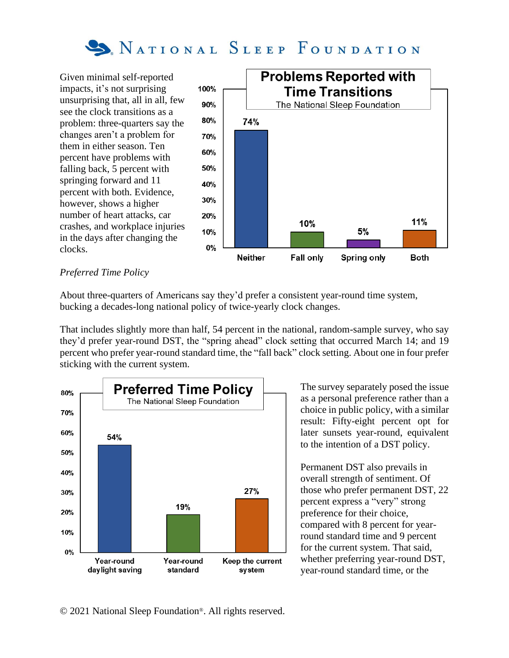

Given minimal self-reported impacts, it's not surprising unsurprising that, all in all, few see the clock transitions as a problem: three-quarters say the changes aren't a problem for them in either season. Ten percent have problems with falling back, 5 percent with springing forward and 11 percent with both. Evidence, however, shows a higher number of heart attacks, car crashes, and workplace injuries in the days after changing the clocks.



## *Preferred Time Policy*

About three-quarters of Americans say they'd prefer a consistent year-round time system, bucking a decades-long national policy of twice-yearly clock changes.

That includes slightly more than half, 54 percent in the national, random-sample survey, who say they'd prefer year-round DST, the "spring ahead" clock setting that occurred March 14; and 19 percent who prefer year-round standard time, the "fall back" clock setting. About one in four prefer sticking with the current system.



The survey separately posed the issue as a personal preference rather than a choice in public policy, with a similar result: Fifty-eight percent opt for later sunsets year-round, equivalent to the intention of a DST policy.

Permanent DST also prevails in overall strength of sentiment. Of those who prefer permanent DST, 22 percent express a "very" strong preference for their choice, compared with 8 percent for yearround standard time and 9 percent for the current system. That said, whether preferring year-round DST, year-round standard time, or the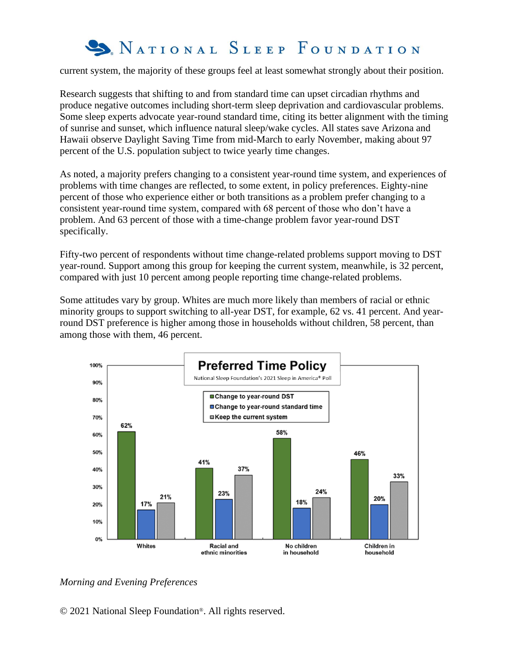

current system, the majority of these groups feel at least somewhat strongly about their position.

Research suggests that shifting to and from standard time can upset circadian rhythms and produce negative outcomes including short-term sleep deprivation and cardiovascular problems. Some sleep experts advocate year-round standard time, citing its better alignment with the timing of sunrise and sunset, which influence natural sleep/wake cycles. All states save Arizona and Hawaii observe Daylight Saving Time from mid-March to early November, making about 97 percent of the U.S. population subject to twice yearly time changes.

As noted, a majority prefers changing to a consistent year-round time system, and experiences of problems with time changes are reflected, to some extent, in policy preferences. Eighty-nine percent of those who experience either or both transitions as a problem prefer changing to a consistent year-round time system, compared with 68 percent of those who don't have a problem. And 63 percent of those with a time-change problem favor year-round DST specifically.

Fifty-two percent of respondents without time change-related problems support moving to DST year-round. Support among this group for keeping the current system, meanwhile, is 32 percent, compared with just 10 percent among people reporting time change-related problems.

Some attitudes vary by group. Whites are much more likely than members of racial or ethnic minority groups to support switching to all-year DST, for example, 62 vs. 41 percent. And yearround DST preference is higher among those in households without children, 58 percent, than among those with them, 46 percent.



## *Morning and Evening Preferences*

© 2021 National Sleep Foundation®. All rights reserved.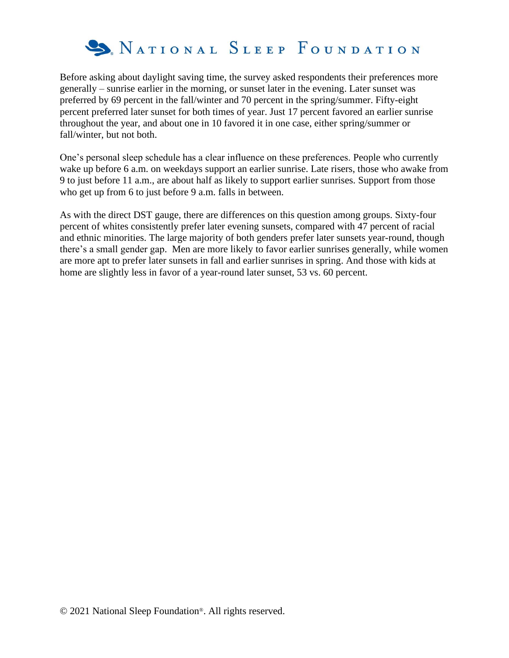

Before asking about daylight saving time, the survey asked respondents their preferences more generally – sunrise earlier in the morning, or sunset later in the evening. Later sunset was preferred by 69 percent in the fall/winter and 70 percent in the spring/summer. Fifty-eight percent preferred later sunset for both times of year. Just 17 percent favored an earlier sunrise throughout the year, and about one in 10 favored it in one case, either spring/summer or fall/winter, but not both.

One's personal sleep schedule has a clear influence on these preferences. People who currently wake up before 6 a.m. on weekdays support an earlier sunrise. Late risers, those who awake from 9 to just before 11 a.m., are about half as likely to support earlier sunrises. Support from those who get up from 6 to just before 9 a.m. falls in between.

As with the direct DST gauge, there are differences on this question among groups. Sixty-four percent of whites consistently prefer later evening sunsets, compared with 47 percent of racial and ethnic minorities. The large majority of both genders prefer later sunsets year-round, though there's a small gender gap. Men are more likely to favor earlier sunrises generally, while women are more apt to prefer later sunsets in fall and earlier sunrises in spring. And those with kids at home are slightly less in favor of a year-round later sunset, 53 vs. 60 percent.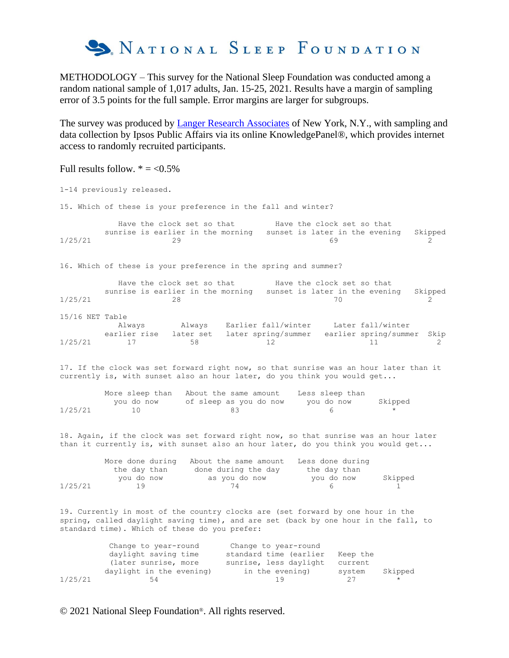

METHODOLOGY – This survey for the National Sleep Foundation was conducted among a random national sample of 1,017 adults, Jan. 15-25, 2021. Results have a margin of sampling error of 3.5 points for the full sample. Error margins are larger for subgroups.

The survey was produced by **Langer Research Associates** of New York, N.Y., with sampling and data collection by Ipsos Public Affairs via its online KnowledgePanel®, which provides internet access to randomly recruited participants.

Full results follow.  $* = <0.5\%$ 

1-14 previously released. 15. Which of these is your preference in the fall and winter? Have the clock set so that Have the clock set so that sunrise is earlier in the morning sunset is later in the evening Skipped  $1/25/21$  29 20 69 2 16. Which of these is your preference in the spring and summer? Have the clock set so that Have the clock set so that sunrise is earlier in the morning sunset is later in the evening Skipped  $1/25/21$  28 28 29 15/16 NET Table Always Always Earlier fall/winter Later fall/winter earlier rise later set later spring/summer earlier spring/summer Skip  $1/25/21$  17 58 12 11 2 17. If the clock was set forward right now, so that sunrise was an hour later than it currently is, with sunset also an hour later, do you think you would get... More sleep than About the same amount Less sleep than you do now of sleep as you do now you do now Skipped  $1/25/21$  10 83 6 \* 18. Again, if the clock was set forward right now, so that sunrise was an hour later than it currently is, with sunset also an hour later, do you think you would get... More done during About the same amount Less done during the day than done during the day the day than<br>you do now as you do now you do now you do now as you do now you do now Skipped  $1/25/21$  19 74 6 1 19. Currently in most of the country clocks are (set forward by one hour in the spring, called daylight saving time), and are set (back by one hour in the fall, to standard time). Which of these do you prefer: Change to year-round Change to year-round daylight saving time standard time (earlier Keep the (later sunrise, more sunrise, less daylight current daylight in the evening) in the evening) system Skipped  $1/25/21$  54 19 27 \*

© 2021 National Sleep Foundation®. All rights reserved.